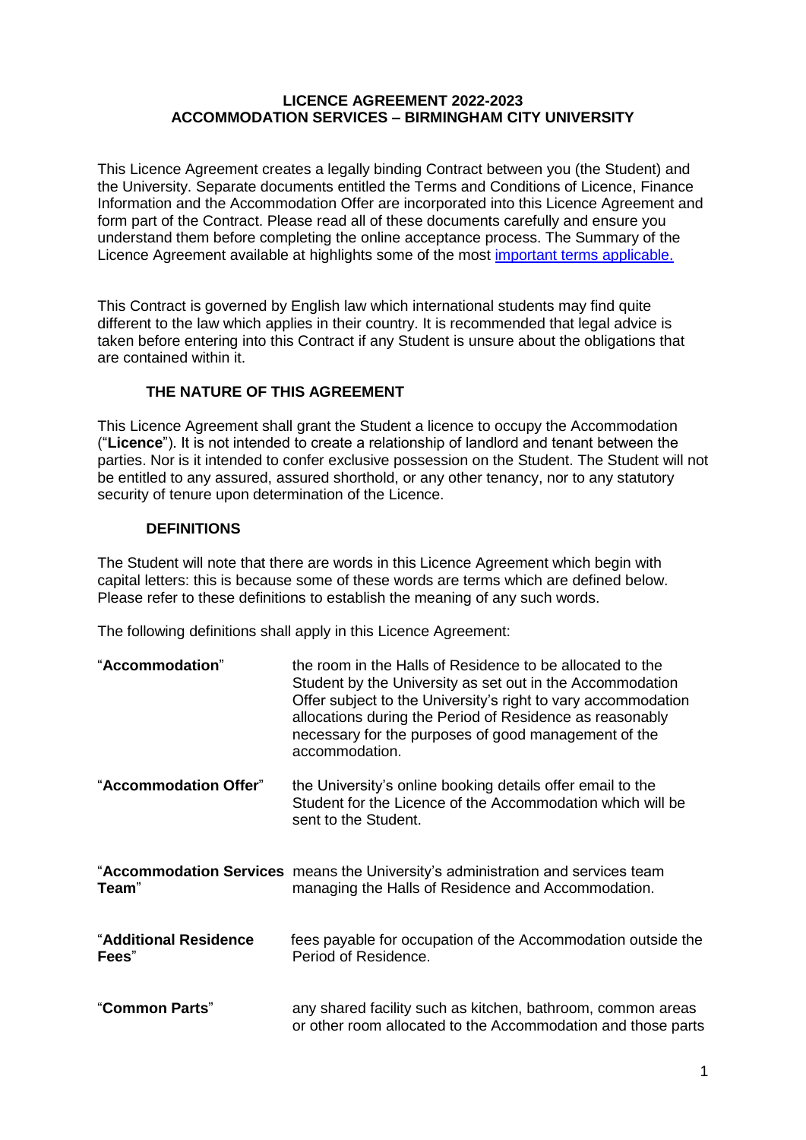## **LICENCE AGREEMENT 2022-2023 ACCOMMODATION SERVICES – BIRMINGHAM CITY UNIVERSITY**

This Licence Agreement creates a legally binding Contract between you (the Student) and the University. Separate documents entitled the Terms and Conditions of Licence, Finance Information and the Accommodation Offer are incorporated into this Licence Agreement and form part of the Contract. Please read all of these documents carefully and ensure you understand them before completing the online acceptance process. The Summary of the Licence Agreement available at highlights some of the most [important terms applicable.](http://www.bcu.ac.uk/student-info/accommodation/halls/university-locks)

This Contract is governed by English law which international students may find quite different to the law which applies in their country. It is recommended that legal advice is taken before entering into this Contract if any Student is unsure about the obligations that are contained within it.

# **THE NATURE OF THIS AGREEMENT**

This Licence Agreement shall grant the Student a licence to occupy the Accommodation ("**Licence**"). It is not intended to create a relationship of landlord and tenant between the parties. Nor is it intended to confer exclusive possession on the Student. The Student will not be entitled to any assured, assured shorthold, or any other tenancy, nor to any statutory security of tenure upon determination of the Licence.

#### **DEFINITIONS**

The Student will note that there are words in this Licence Agreement which begin with capital letters: this is because some of these words are terms which are defined below. Please refer to these definitions to establish the meaning of any such words.

The following definitions shall apply in this Licence Agreement:

| "Accommodation"                | the room in the Halls of Residence to be allocated to the<br>Student by the University as set out in the Accommodation<br>Offer subject to the University's right to vary accommodation<br>allocations during the Period of Residence as reasonably<br>necessary for the purposes of good management of the<br>accommodation. |  |
|--------------------------------|-------------------------------------------------------------------------------------------------------------------------------------------------------------------------------------------------------------------------------------------------------------------------------------------------------------------------------|--|
| "Accommodation Offer"          | the University's online booking details offer email to the<br>Student for the Licence of the Accommodation which will be<br>sent to the Student.                                                                                                                                                                              |  |
| Team"                          | "Accommodation Services means the University's administration and services team<br>managing the Halls of Residence and Accommodation.                                                                                                                                                                                         |  |
| "Additional Residence<br>Fees" | fees payable for occupation of the Accommodation outside the<br>Period of Residence.                                                                                                                                                                                                                                          |  |
| "Common Parts"                 | any shared facility such as kitchen, bathroom, common areas<br>or other room allocated to the Accommodation and those parts                                                                                                                                                                                                   |  |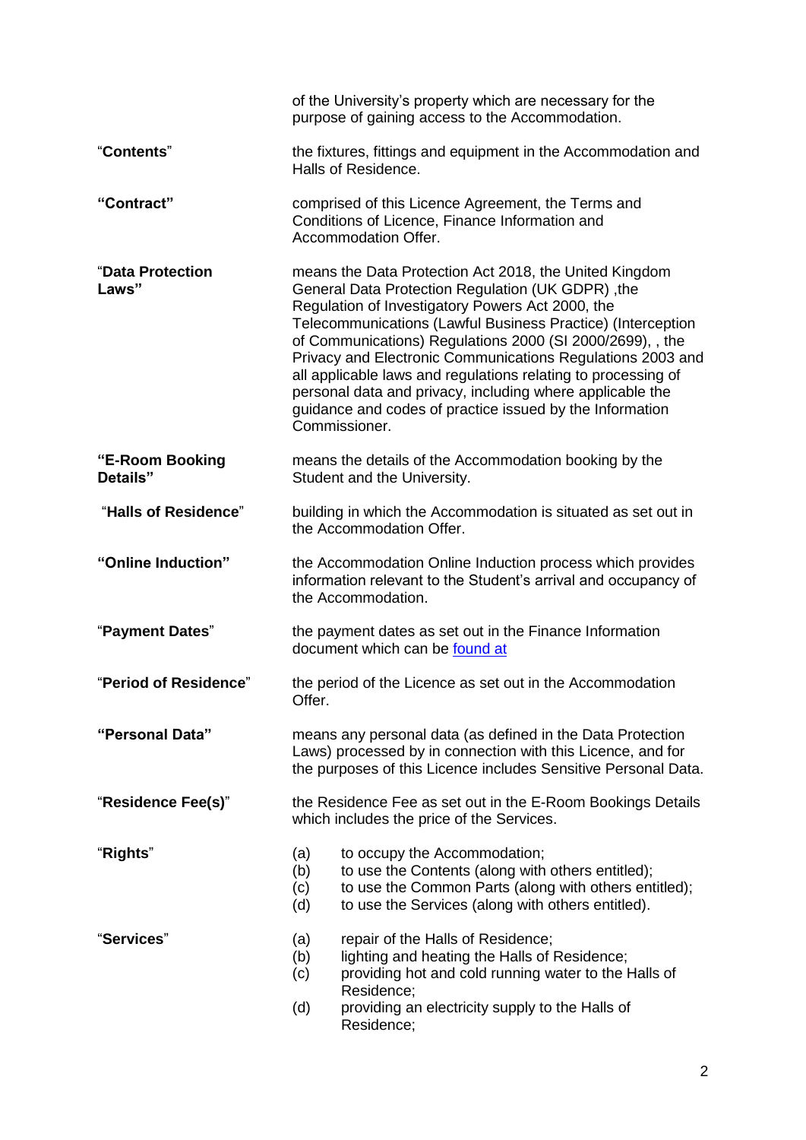|                             | of the University's property which are necessary for the<br>purpose of gaining access to the Accommodation.                                                                                                                                                                                                                                                                                                                                                                                                                                                          |  |  |
|-----------------------------|----------------------------------------------------------------------------------------------------------------------------------------------------------------------------------------------------------------------------------------------------------------------------------------------------------------------------------------------------------------------------------------------------------------------------------------------------------------------------------------------------------------------------------------------------------------------|--|--|
| "Contents"                  | the fixtures, fittings and equipment in the Accommodation and<br>Halls of Residence.                                                                                                                                                                                                                                                                                                                                                                                                                                                                                 |  |  |
| "Contract"                  | comprised of this Licence Agreement, the Terms and<br>Conditions of Licence, Finance Information and<br>Accommodation Offer.                                                                                                                                                                                                                                                                                                                                                                                                                                         |  |  |
| "Data Protection<br>Laws"   | means the Data Protection Act 2018, the United Kingdom<br>General Data Protection Regulation (UK GDPR), the<br>Regulation of Investigatory Powers Act 2000, the<br>Telecommunications (Lawful Business Practice) (Interception<br>of Communications) Regulations 2000 (SI 2000/2699), , the<br>Privacy and Electronic Communications Regulations 2003 and<br>all applicable laws and regulations relating to processing of<br>personal data and privacy, including where applicable the<br>guidance and codes of practice issued by the Information<br>Commissioner. |  |  |
| "E-Room Booking<br>Details" | means the details of the Accommodation booking by the<br>Student and the University.                                                                                                                                                                                                                                                                                                                                                                                                                                                                                 |  |  |
| "Halls of Residence"        | building in which the Accommodation is situated as set out in<br>the Accommodation Offer.                                                                                                                                                                                                                                                                                                                                                                                                                                                                            |  |  |
| "Online Induction"          | the Accommodation Online Induction process which provides<br>information relevant to the Student's arrival and occupancy of<br>the Accommodation.                                                                                                                                                                                                                                                                                                                                                                                                                    |  |  |
| "Payment Dates"             | the payment dates as set out in the Finance Information<br>document which can be found at                                                                                                                                                                                                                                                                                                                                                                                                                                                                            |  |  |
| "Period of Residence"       | the period of the Licence as set out in the Accommodation<br>Offer.                                                                                                                                                                                                                                                                                                                                                                                                                                                                                                  |  |  |
| "Personal Data"             | means any personal data (as defined in the Data Protection<br>Laws) processed by in connection with this Licence, and for<br>the purposes of this Licence includes Sensitive Personal Data.                                                                                                                                                                                                                                                                                                                                                                          |  |  |
| "Residence Fee(s)"          | the Residence Fee as set out in the E-Room Bookings Details<br>which includes the price of the Services.                                                                                                                                                                                                                                                                                                                                                                                                                                                             |  |  |
| "Rights"                    | to occupy the Accommodation;<br>(a)<br>to use the Contents (along with others entitled);<br>(b)<br>to use the Common Parts (along with others entitled);<br>(c)<br>to use the Services (along with others entitled).<br>(d)                                                                                                                                                                                                                                                                                                                                          |  |  |
| "Services"                  | repair of the Halls of Residence;<br>(a)<br>lighting and heating the Halls of Residence;<br>(b)<br>providing hot and cold running water to the Halls of<br>(c)<br>Residence;<br>providing an electricity supply to the Halls of<br>(d)<br>Residence;                                                                                                                                                                                                                                                                                                                 |  |  |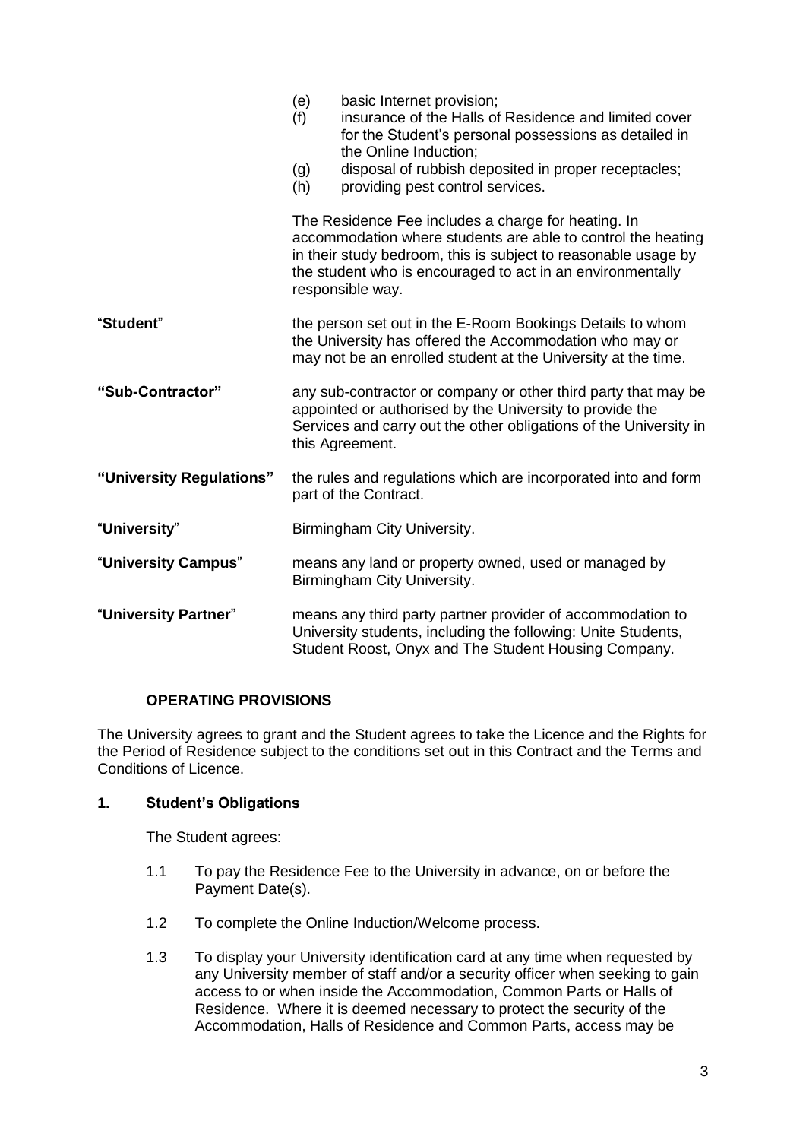|                          | (e)<br>(f)<br>(g)                                                                                                                                                                                                  | basic Internet provision;<br>insurance of the Halls of Residence and limited cover<br>for the Student's personal possessions as detailed in<br>the Online Induction;<br>disposal of rubbish deposited in proper receptacles;                                            |
|--------------------------|--------------------------------------------------------------------------------------------------------------------------------------------------------------------------------------------------------------------|-------------------------------------------------------------------------------------------------------------------------------------------------------------------------------------------------------------------------------------------------------------------------|
|                          | (h)                                                                                                                                                                                                                | providing pest control services.                                                                                                                                                                                                                                        |
|                          |                                                                                                                                                                                                                    | The Residence Fee includes a charge for heating. In<br>accommodation where students are able to control the heating<br>in their study bedroom, this is subject to reasonable usage by<br>the student who is encouraged to act in an environmentally<br>responsible way. |
| "Student"                |                                                                                                                                                                                                                    | the person set out in the E-Room Bookings Details to whom<br>the University has offered the Accommodation who may or<br>may not be an enrolled student at the University at the time.                                                                                   |
| "Sub-Contractor"         | any sub-contractor or company or other third party that may be<br>appointed or authorised by the University to provide the<br>Services and carry out the other obligations of the University in<br>this Agreement. |                                                                                                                                                                                                                                                                         |
| "University Regulations" | the rules and regulations which are incorporated into and form<br>part of the Contract.                                                                                                                            |                                                                                                                                                                                                                                                                         |
| "University"             | Birmingham City University.                                                                                                                                                                                        |                                                                                                                                                                                                                                                                         |
| "University Campus"      | means any land or property owned, used or managed by<br>Birmingham City University.                                                                                                                                |                                                                                                                                                                                                                                                                         |
| "University Partner"     | means any third party partner provider of accommodation to<br>University students, including the following: Unite Students,<br>Student Roost, Onyx and The Student Housing Company.                                |                                                                                                                                                                                                                                                                         |

# **OPERATING PROVISIONS**

The University agrees to grant and the Student agrees to take the Licence and the Rights for the Period of Residence subject to the conditions set out in this Contract and the Terms and Conditions of Licence.

#### **1. Student's Obligations**

The Student agrees:

- 1.1 To pay the Residence Fee to the University in advance, on or before the Payment Date(s).
- 1.2 To complete the Online Induction/Welcome process.
- 1.3 To display your University identification card at any time when requested by any University member of staff and/or a security officer when seeking to gain access to or when inside the Accommodation, Common Parts or Halls of Residence. Where it is deemed necessary to protect the security of the Accommodation, Halls of Residence and Common Parts, access may be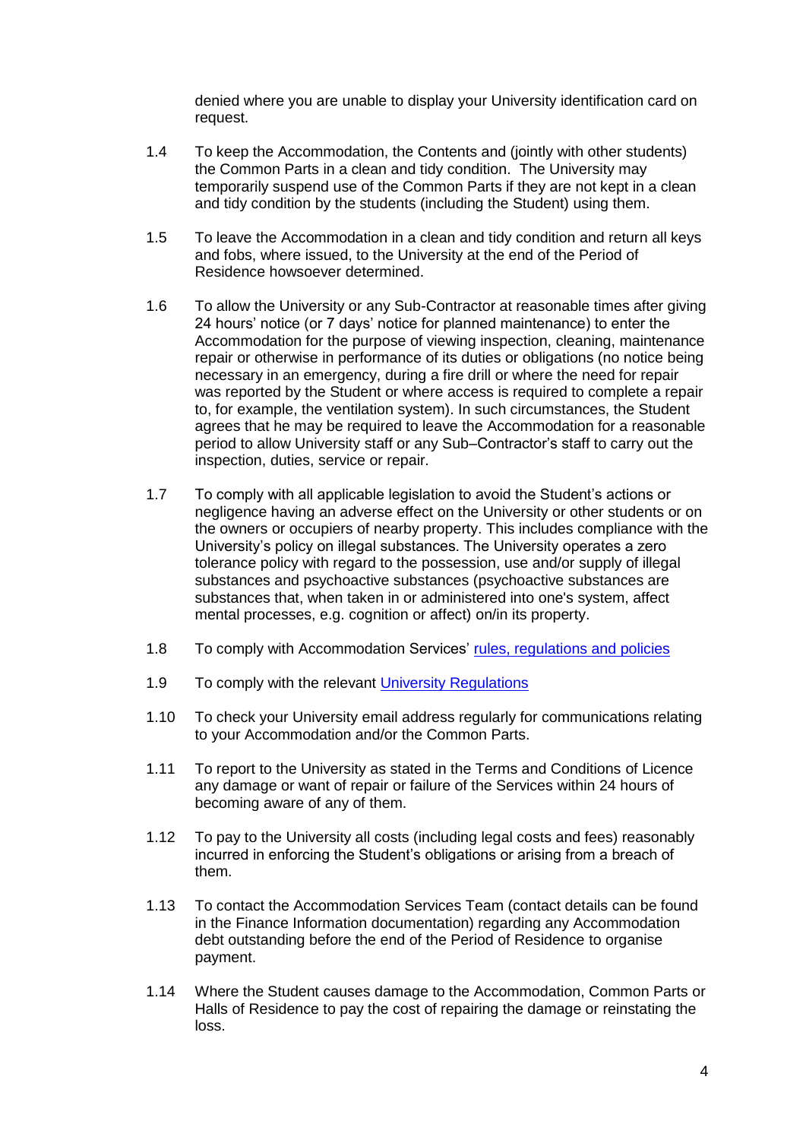denied where you are unable to display your University identification card on request.

- 1.4 To keep the Accommodation, the Contents and (jointly with other students) the Common Parts in a clean and tidy condition. The University may temporarily suspend use of the Common Parts if they are not kept in a clean and tidy condition by the students (including the Student) using them.
- 1.5 To leave the Accommodation in a clean and tidy condition and return all keys and fobs, where issued, to the University at the end of the Period of Residence howsoever determined.
- 1.6 To allow the University or any Sub-Contractor at reasonable times after giving 24 hours' notice (or 7 days' notice for planned maintenance) to enter the Accommodation for the purpose of viewing inspection, cleaning, maintenance repair or otherwise in performance of its duties or obligations (no notice being necessary in an emergency, during a fire drill or where the need for repair was reported by the Student or where access is required to complete a repair to, for example, the ventilation system). In such circumstances, the Student agrees that he may be required to leave the Accommodation for a reasonable period to allow University staff or any Sub–Contractor's staff to carry out the inspection, duties, service or repair.
- 1.7 To comply with all applicable legislation to avoid the Student's actions or negligence having an adverse effect on the University or other students or on the owners or occupiers of nearby property. This includes compliance with the University's policy on illegal substances. The University operates a zero tolerance policy with regard to the possession, use and/or supply of illegal substances and psychoactive substances (psychoactive substances are substances that, when taken in or administered into one's system, affect mental processes, e.g. cognition or affect) on/in its property.
- 1.8 To comply with Accommodation Services' [rules, regulations and policies](https://www.bcu.ac.uk/student-info/accommodation/halls/university-locks)
- 1.9 To comply with the relevant University [Regulations](https://www.bcu.ac.uk/student-info/university-regulations)
- 1.10 To check your University email address regularly for communications relating to your Accommodation and/or the Common Parts.
- 1.11 To report to the University as stated in the Terms and Conditions of Licence any damage or want of repair or failure of the Services within 24 hours of becoming aware of any of them.
- 1.12 To pay to the University all costs (including legal costs and fees) reasonably incurred in enforcing the Student's obligations or arising from a breach of them.
- 1.13 To contact the Accommodation Services Team (contact details can be found in the Finance Information documentation) regarding any Accommodation debt outstanding before the end of the Period of Residence to organise payment.
- 1.14 Where the Student causes damage to the Accommodation, Common Parts or Halls of Residence to pay the cost of repairing the damage or reinstating the loss.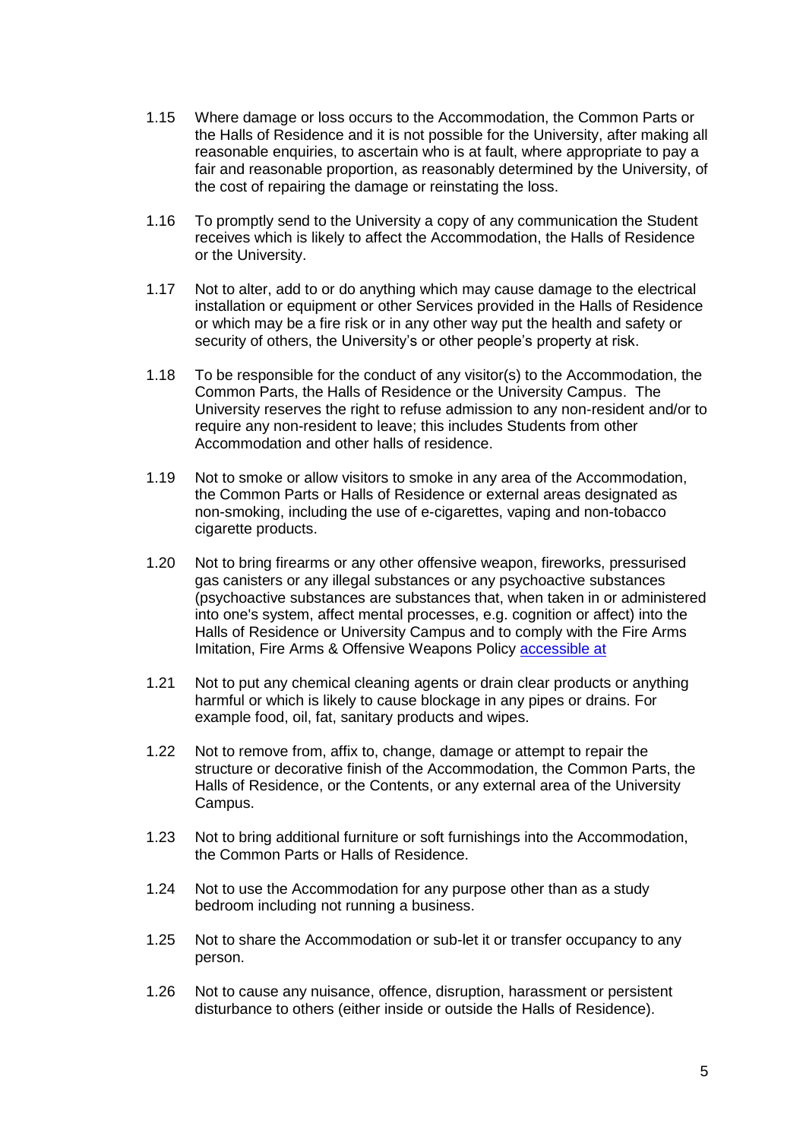- 1.15 Where damage or loss occurs to the Accommodation, the Common Parts or the Halls of Residence and it is not possible for the University, after making all reasonable enquiries, to ascertain who is at fault, where appropriate to pay a fair and reasonable proportion, as reasonably determined by the University, of the cost of repairing the damage or reinstating the loss.
- 1.16 To promptly send to the University a copy of any communication the Student receives which is likely to affect the Accommodation, the Halls of Residence or the University.
- 1.17 Not to alter, add to or do anything which may cause damage to the electrical installation or equipment or other Services provided in the Halls of Residence or which may be a fire risk or in any other way put the health and safety or security of others, the University's or other people's property at risk.
- <span id="page-4-0"></span>1.18 To be responsible for the conduct of any visitor(s) to the Accommodation, the Common Parts, the Halls of Residence or the University Campus. The University reserves the right to refuse admission to any non-resident and/or to require any non-resident to leave; this includes Students from other Accommodation and other halls of residence.
- 1.19 Not to smoke or allow visitors to smoke in any area of the Accommodation, the Common Parts or Halls of Residence or external areas designated as non-smoking, including the use of e-cigarettes, vaping and non-tobacco cigarette products.
- 1.20 Not to bring firearms or any other offensive weapon, fireworks, pressurised gas canisters or any illegal substances or any psychoactive substances (psychoactive substances are substances that, when taken in or administered into one's system, affect mental processes, e.g. cognition or affect) into the Halls of Residence or University Campus and to comply with the Fire Arms Imitation, Fire Arms & Offensive Weapons Policy [accessible at](http://www.bcu.ac.uk/student-info/accommodation/halls/university-locks)
- 1.21 Not to put any chemical cleaning agents or drain clear products or anything harmful or which is likely to cause blockage in any pipes or drains. For example food, oil, fat, sanitary products and wipes.
- 1.22 Not to remove from, affix to, change, damage or attempt to repair the structure or decorative finish of the Accommodation, the Common Parts, the Halls of Residence, or the Contents, or any external area of the University Campus.
- 1.23 Not to bring additional furniture or soft furnishings into the Accommodation, the Common Parts or Halls of Residence.
- 1.24 Not to use the Accommodation for any purpose other than as a study bedroom including not running a business.
- 1.25 Not to share the Accommodation or sub-let it or transfer occupancy to any person.
- 1.26 Not to cause any nuisance, offence, disruption, harassment or persistent disturbance to others (either inside or outside the Halls of Residence).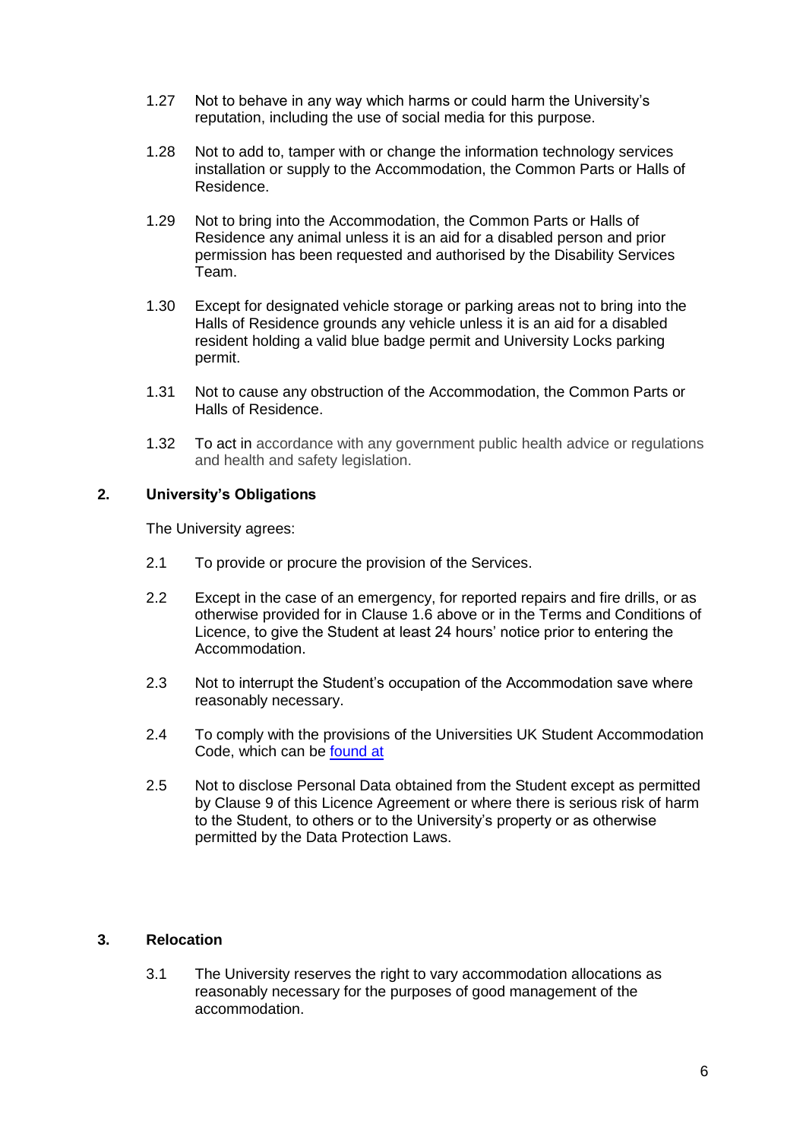- 1.27 Not to behave in any way which harms or could harm the University's reputation, including the use of social media for this purpose.
- 1.28 Not to add to, tamper with or change the information technology services installation or supply to the Accommodation, the Common Parts or Halls of Residence.
- 1.29 Not to bring into the Accommodation, the Common Parts or Halls of Residence any animal unless it is an aid for a disabled person and prior permission has been requested and authorised by the Disability Services Team.
- 1.30 Except for designated vehicle storage or parking areas not to bring into the Halls of Residence grounds any vehicle unless it is an aid for a disabled resident holding a valid blue badge permit and University Locks parking permit.
- 1.31 Not to cause any obstruction of the Accommodation, the Common Parts or Halls of Residence.
- 1.32 To act in accordance with any government public health advice or regulations and health and safety legislation.

# **2. University's Obligations**

The University agrees:

- <span id="page-5-0"></span>2.1 To provide or procure the provision of the Services.
- 2.2 Except in the case of an emergency, for reported repairs and fire drills, or as otherwise provided for in Clause 1.6 above or in the Terms and Conditions of Licence, to give the Student at least 24 hours' notice prior to entering the Accommodation.
- 2.3 Not to interrupt the Student's occupation of the Accommodation save where reasonably necessary.
- 2.4 To comply with the provisions of the Universities UK Student Accommodation Code, which can be [found at](http://www.thesac.org.uk/)
- 2.5 Not to disclose Personal Data obtained from the Student except as permitted by Clause 9 of this Licence Agreement or where there is serious risk of harm to the Student, to others or to the University's property or as otherwise permitted by the Data Protection Laws.

#### **3. Relocation**

3.1 The University reserves the right to vary accommodation allocations as reasonably necessary for the purposes of good management of the accommodation.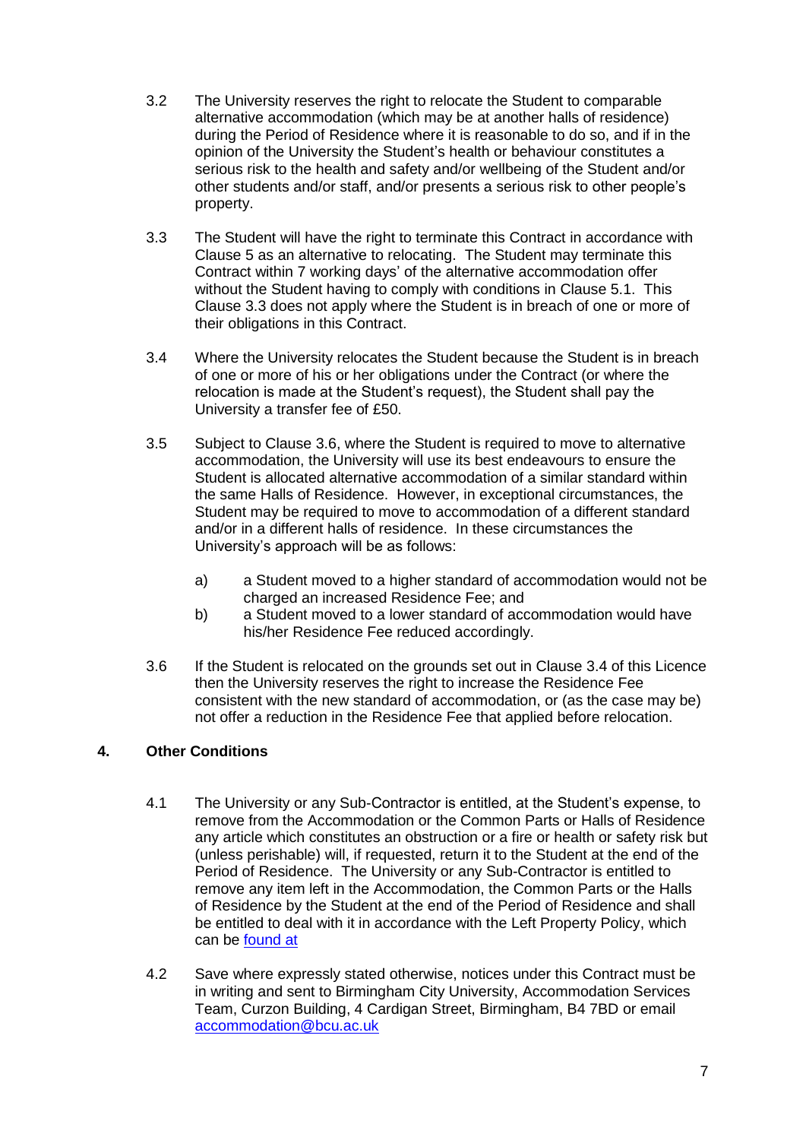- 3.2 The University reserves the right to relocate the Student to comparable alternative accommodation (which may be at another halls of residence) during the Period of Residence where it is reasonable to do so, and if in the opinion of the University the Student's health or behaviour constitutes a serious risk to the health and safety and/or wellbeing of the Student and/or other students and/or staff, and/or presents a serious risk to other people's property.
- 3.3 The Student will have the right to terminate this Contract in accordance with Clause 5 as an alternative to relocating. The Student may terminate this Contract within 7 working days' of the alternative accommodation offer without the Student having to comply with conditions in Clause 5.1. This Clause 3.3 does not apply where the Student is in breach of one or more of their obligations in this Contract.
- 3.4 Where the University relocates the Student because the Student is in breach of one or more of his or her obligations under the Contract (or where the relocation is made at the Student's request), the Student shall pay the University a transfer fee of £50.
- 3.5 Subject to Clause 3.6, where the Student is required to move to alternative accommodation, the University will use its best endeavours to ensure the Student is allocated alternative accommodation of a similar standard within the same Halls of Residence. However, in exceptional circumstances, the Student may be required to move to accommodation of a different standard and/or in a different halls of residence. In these circumstances the University's approach will be as follows:
	- a) a Student moved to a higher standard of accommodation would not be charged an increased Residence Fee; and
	- b) a Student moved to a lower standard of accommodation would have his/her Residence Fee reduced accordingly.
- 3.6 If the Student is relocated on the grounds set out in Clause 3.4 of this Licence then the University reserves the right to increase the Residence Fee consistent with the new standard of accommodation, or (as the case may be) not offer a reduction in the Residence Fee that applied before relocation.

# **4. Other Conditions**

- 4.1 The University or any Sub-Contractor is entitled, at the Student's expense, to remove from the Accommodation or the Common Parts or Halls of Residence any article which constitutes an obstruction or a fire or health or safety risk but (unless perishable) will, if requested, return it to the Student at the end of the Period of Residence. The University or any Sub-Contractor is entitled to remove any item left in the Accommodation, the Common Parts or the Halls of Residence by the Student at the end of the Period of Residence and shall be entitled to deal with it in accordance with the Left Property Policy, which can be [found at](http://www.bcu.ac.uk/student-info/accommodation/halls/university-locks)
- 4.2 Save where expressly stated otherwise, notices under this Contract must be in writing and sent to Birmingham City University, Accommodation Services Team, Curzon Building, 4 Cardigan Street, Birmingham, B4 7BD or email [accommodation@bcu.ac.uk](mailto:accommodation@bcu.ac.uk)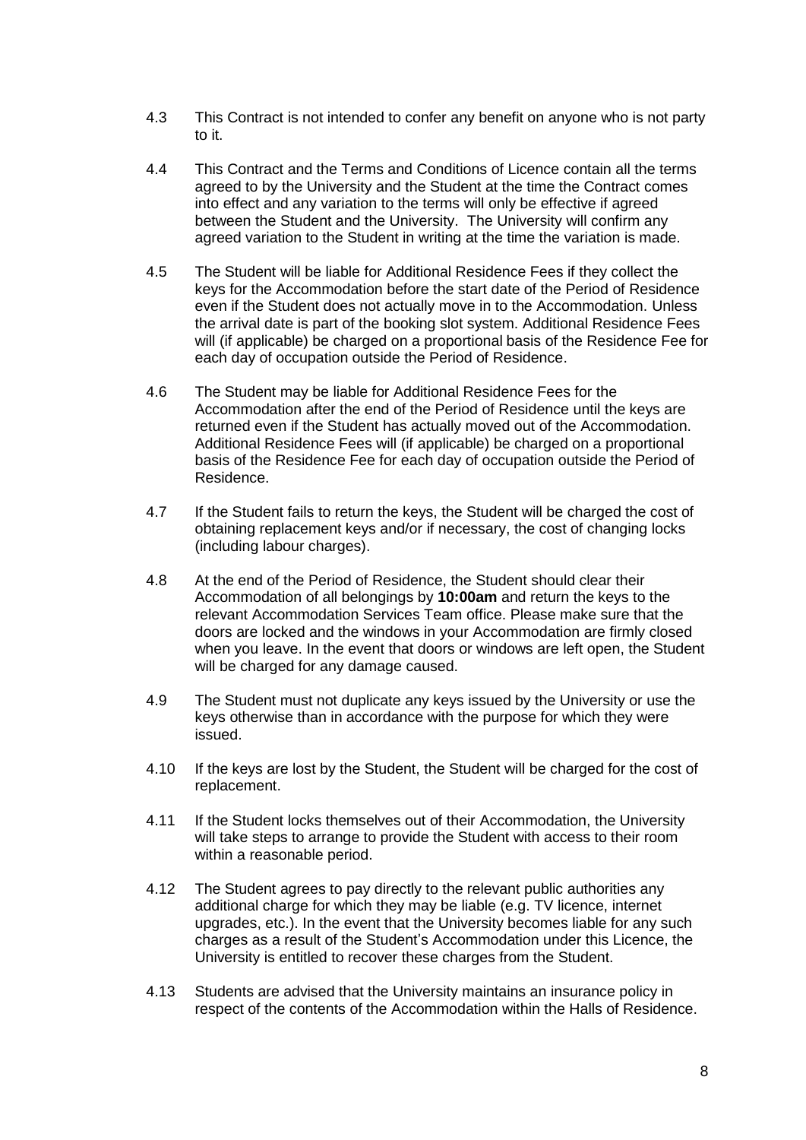- 4.3 This Contract is not intended to confer any benefit on anyone who is not party to it.
- 4.4 This Contract and the Terms and Conditions of Licence contain all the terms agreed to by the University and the Student at the time the Contract comes into effect and any variation to the terms will only be effective if agreed between the Student and the University. The University will confirm any agreed variation to the Student in writing at the time the variation is made.
- 4.5 The Student will be liable for Additional Residence Fees if they collect the keys for the Accommodation before the start date of the Period of Residence even if the Student does not actually move in to the Accommodation. Unless the arrival date is part of the booking slot system. Additional Residence Fees will (if applicable) be charged on a proportional basis of the Residence Fee for each day of occupation outside the Period of Residence.
- 4.6 The Student may be liable for Additional Residence Fees for the Accommodation after the end of the Period of Residence until the keys are returned even if the Student has actually moved out of the Accommodation. Additional Residence Fees will (if applicable) be charged on a proportional basis of the Residence Fee for each day of occupation outside the Period of Residence.
- 4.7 If the Student fails to return the keys, the Student will be charged the cost of obtaining replacement keys and/or if necessary, the cost of changing locks (including labour charges).
- 4.8 At the end of the Period of Residence, the Student should clear their Accommodation of all belongings by **10:00am** and return the keys to the relevant Accommodation Services Team office. Please make sure that the doors are locked and the windows in your Accommodation are firmly closed when you leave. In the event that doors or windows are left open, the Student will be charged for any damage caused.
- 4.9 The Student must not duplicate any keys issued by the University or use the keys otherwise than in accordance with the purpose for which they were issued.
- 4.10 If the keys are lost by the Student, the Student will be charged for the cost of replacement.
- 4.11 If the Student locks themselves out of their Accommodation, the University will take steps to arrange to provide the Student with access to their room within a reasonable period.
- 4.12 The Student agrees to pay directly to the relevant public authorities any additional charge for which they may be liable (e.g. TV licence, internet upgrades, etc.). In the event that the University becomes liable for any such charges as a result of the Student's Accommodation under this Licence, the University is entitled to recover these charges from the Student.
- 4.13 Students are advised that the University maintains an insurance policy in respect of the contents of the Accommodation within the Halls of Residence.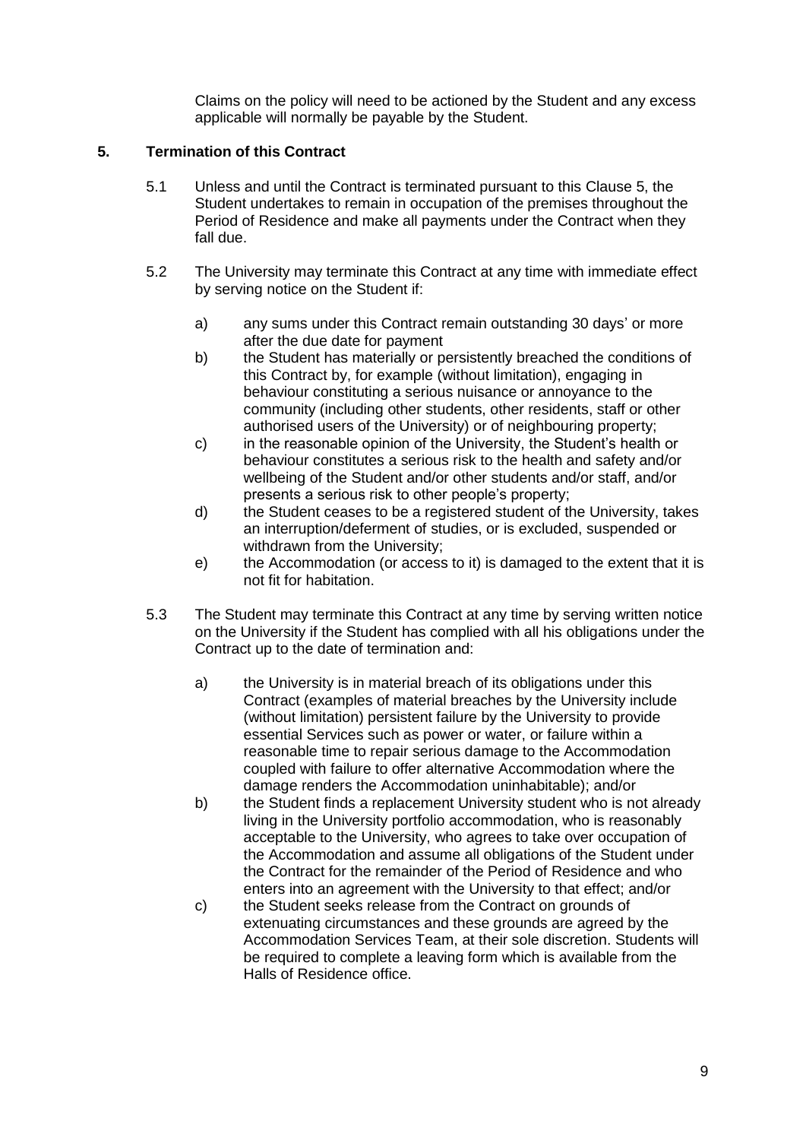Claims on the policy will need to be actioned by the Student and any excess applicable will normally be payable by the Student.

## **5. Termination of this Contract**

- 5.1 Unless and until the Contract is terminated pursuant to this Clause 5, the Student undertakes to remain in occupation of the premises throughout the Period of Residence and make all payments under the Contract when they fall due.
- 5.2 The University may terminate this Contract at any time with immediate effect by serving notice on the Student if:
	- a) any sums under this Contract remain outstanding 30 days' or more after the due date for payment
	- b) the Student has materially or persistently breached the conditions of this Contract by, for example (without limitation), engaging in behaviour constituting a serious nuisance or annoyance to the community (including other students, other residents, staff or other authorised users of the University) or of neighbouring property;
	- c) in the reasonable opinion of the University, the Student's health or behaviour constitutes a serious risk to the health and safety and/or wellbeing of the Student and/or other students and/or staff, and/or presents a serious risk to other people's property;
	- d) the Student ceases to be a registered student of the University, takes an interruption/deferment of studies, or is excluded, suspended or withdrawn from the University;
	- e) the Accommodation (or access to it) is damaged to the extent that it is not fit for habitation.
- 5.3 The Student may terminate this Contract at any time by serving written notice on the University if the Student has complied with all his obligations under the Contract up to the date of termination and:
	- a) the University is in material breach of its obligations under this Contract (examples of material breaches by the University include (without limitation) persistent failure by the University to provide essential Services such as power or water, or failure within a reasonable time to repair serious damage to the Accommodation coupled with failure to offer alternative Accommodation where the damage renders the Accommodation uninhabitable); and/or
	- b) the Student finds a replacement University student who is not already living in the University portfolio accommodation, who is reasonably acceptable to the University, who agrees to take over occupation of the Accommodation and assume all obligations of the Student under the Contract for the remainder of the Period of Residence and who enters into an agreement with the University to that effect; and/or
	- c) the Student seeks release from the Contract on grounds of extenuating circumstances and these grounds are agreed by the Accommodation Services Team, at their sole discretion. Students will be required to complete a leaving form which is available from the Halls of Residence office.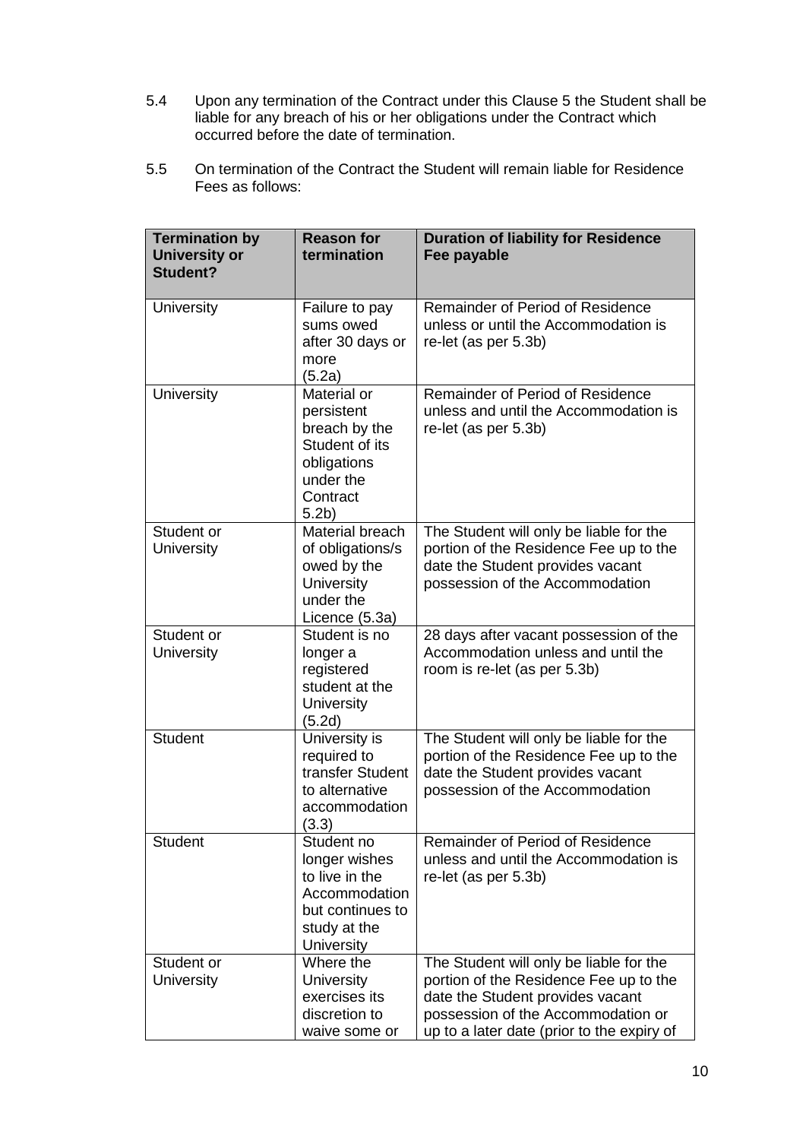- 5.4 Upon any termination of the Contract under this Clause 5 the Student shall be liable for any breach of his or her obligations under the Contract which occurred before the date of termination.
- 5.5 On termination of the Contract the Student will remain liable for Residence Fees as follows:

| <b>Termination by</b><br><b>University or</b><br>Student? | <b>Reason for</b><br>termination                                                                                         | <b>Duration of liability for Residence</b><br>Fee payable                                                                                                                                                 |
|-----------------------------------------------------------|--------------------------------------------------------------------------------------------------------------------------|-----------------------------------------------------------------------------------------------------------------------------------------------------------------------------------------------------------|
| University                                                | Failure to pay<br>sums owed<br>after 30 days or<br>more<br>(5.2a)                                                        | Remainder of Period of Residence<br>unless or until the Accommodation is<br>re-let (as per 5.3b)                                                                                                          |
| <b>University</b>                                         | Material or<br>persistent<br>breach by the<br>Student of its<br>obligations<br>under the<br>Contract<br>5.2 <sub>b</sub> | Remainder of Period of Residence<br>unless and until the Accommodation is<br>re-let (as per 5.3b)                                                                                                         |
| Student or<br>University                                  | Material breach<br>of obligations/s<br>owed by the<br>University<br>under the<br>Licence (5.3a)                          | The Student will only be liable for the<br>portion of the Residence Fee up to the<br>date the Student provides vacant<br>possession of the Accommodation                                                  |
| Student or<br>University                                  | Student is no<br>longer a<br>registered<br>student at the<br>University<br>(5.2d)                                        | 28 days after vacant possession of the<br>Accommodation unless and until the<br>room is re-let (as per 5.3b)                                                                                              |
| <b>Student</b>                                            | University is<br>required to<br>transfer Student<br>to alternative<br>accommodation<br>(3.3)                             | The Student will only be liable for the<br>portion of the Residence Fee up to the<br>date the Student provides vacant<br>possession of the Accommodation                                                  |
| <b>Student</b>                                            | Student no<br>longer wishes<br>to live in the<br>Accommodation<br>but continues to<br>study at the<br>University         | Remainder of Period of Residence<br>unless and until the Accommodation is<br>re-let (as per 5.3b)                                                                                                         |
| Student or<br>University                                  | Where the<br><b>University</b><br>exercises its<br>discretion to<br>waive some or                                        | The Student will only be liable for the<br>portion of the Residence Fee up to the<br>date the Student provides vacant<br>possession of the Accommodation or<br>up to a later date (prior to the expiry of |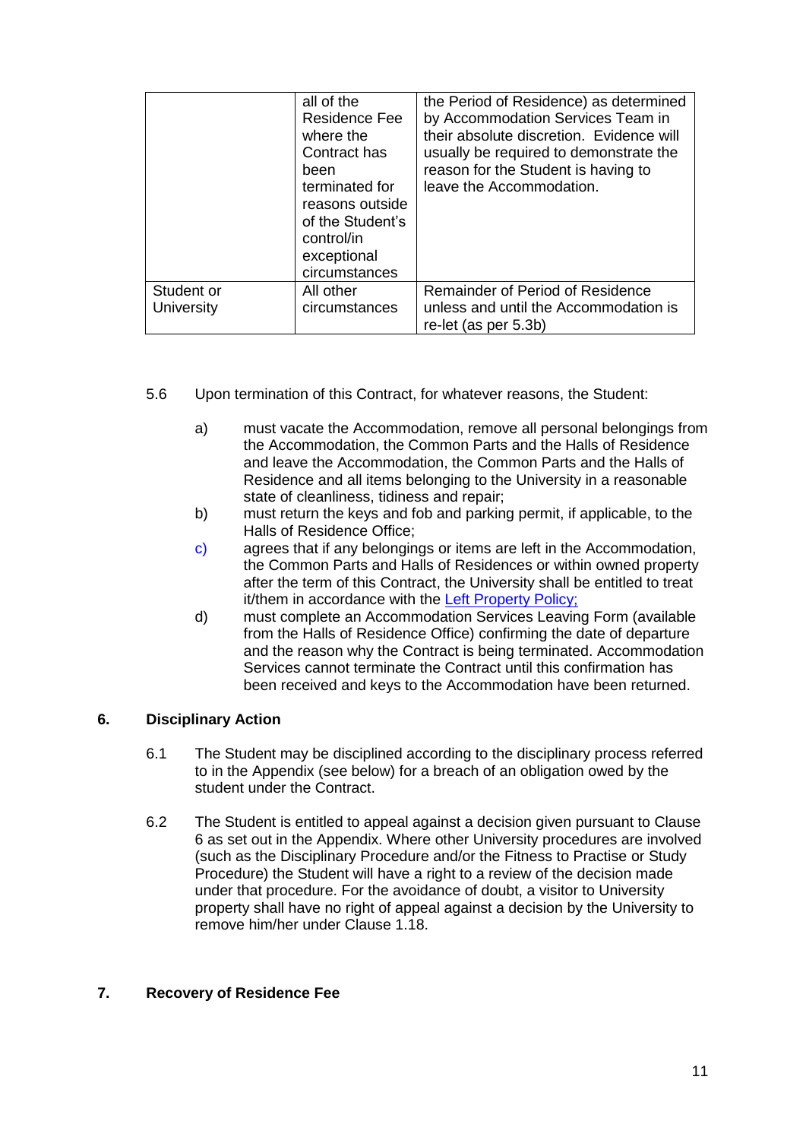|                                 | all of the<br><b>Residence Fee</b><br>where the<br>Contract has<br>been<br>terminated for<br>reasons outside<br>of the Student's<br>control/in<br>exceptional<br>circumstances | the Period of Residence) as determined<br>by Accommodation Services Team in<br>their absolute discretion. Evidence will<br>usually be required to demonstrate the<br>reason for the Student is having to<br>leave the Accommodation. |
|---------------------------------|--------------------------------------------------------------------------------------------------------------------------------------------------------------------------------|--------------------------------------------------------------------------------------------------------------------------------------------------------------------------------------------------------------------------------------|
| Student or<br><b>University</b> | All other<br>circumstances                                                                                                                                                     | Remainder of Period of Residence<br>unless and until the Accommodation is<br>re-let (as per 5.3b)                                                                                                                                    |

- 5.6 Upon termination of this Contract, for whatever reasons, the Student:
	- a) must vacate the Accommodation, remove all personal belongings from the Accommodation, the Common Parts and the Halls of Residence and leave the Accommodation, the Common Parts and the Halls of Residence and all items belonging to the University in a reasonable state of cleanliness, tidiness and repair;
	- b) must return the keys and fob and parking permit, if applicable, to the Halls of Residence Office;
	- c) agrees that if any belongings or items are left in the Accommodation, the Common Parts and Halls of Residences or within owned property after the term of this Contract, the University shall be entitled to treat it/them in accordance with the [Left Property Policy;](https://www.bcu.ac.uk/student-info/accommodation/halls/university-locks)
	- d) must complete an Accommodation Services Leaving Form (available from the Halls of Residence Office) confirming the date of departure and the reason why the Contract is being terminated. Accommodation Services cannot terminate the Contract until this confirmation has been received and keys to the Accommodation have been returned.

# **6. Disciplinary Action**

- 6.1 The Student may be disciplined according to the disciplinary process referred to in the Appendix (see below) for a breach of an obligation owed by the student under the Contract.
- 6.2 The Student is entitled to appeal against a decision given pursuant to Clause 6 as set out in the Appendix. Where other University procedures are involved (such as the Disciplinary Procedure and/or the Fitness to Practise or Study Procedure) the Student will have a right to a review of the decision made under that procedure. For the avoidance of doubt, a visitor to University property shall have no right of appeal against a decision by the University to remove him/her under Clause [1.18.](#page-4-0)

# **7. Recovery of Residence Fee**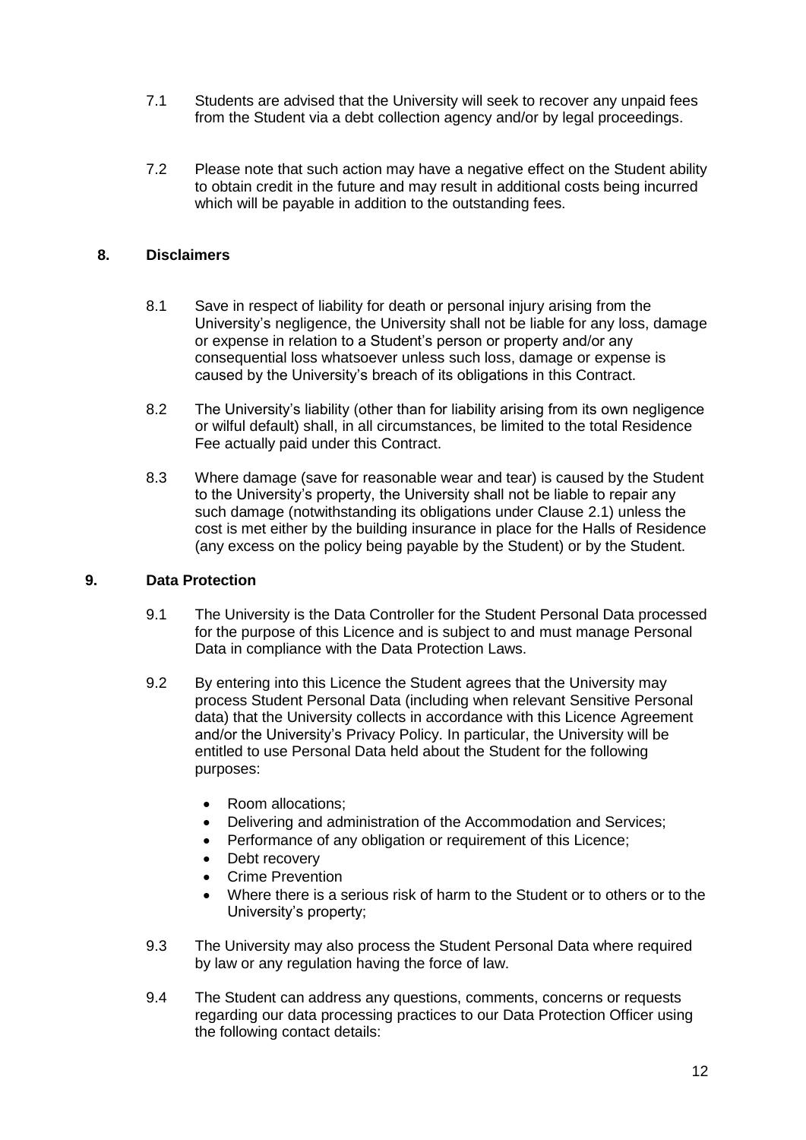- 7.1 Students are advised that the University will seek to recover any unpaid fees from the Student via a debt collection agency and/or by legal proceedings.
- 7.2 Please note that such action may have a negative effect on the Student ability to obtain credit in the future and may result in additional costs being incurred which will be payable in addition to the outstanding fees.

## **8. Disclaimers**

- 8.1 Save in respect of liability for death or personal injury arising from the University's negligence, the University shall not be liable for any loss, damage or expense in relation to a Student's person or property and/or any consequential loss whatsoever unless such loss, damage or expense is caused by the University's breach of its obligations in this Contract.
- 8.2 The University's liability (other than for liability arising from its own negligence or wilful default) shall, in all circumstances, be limited to the total Residence Fee actually paid under this Contract.
- 8.3 Where damage (save for reasonable wear and tear) is caused by the Student to the University's property, the University shall not be liable to repair any such damage (notwithstanding its obligations under Clause [2.1\)](#page-5-0) unless the cost is met either by the building insurance in place for the Halls of Residence (any excess on the policy being payable by the Student) or by the Student.

#### **9. Data Protection**

- 9.1 The University is the Data Controller for the Student Personal Data processed for the purpose of this Licence and is subject to and must manage Personal Data in compliance with the Data Protection Laws.
- 9.2 By entering into this Licence the Student agrees that the University may process Student Personal Data (including when relevant Sensitive Personal data) that the University collects in accordance with this Licence Agreement and/or the University's Privacy Policy. In particular, the University will be entitled to use Personal Data held about the Student for the following purposes:
	- Room allocations;
	- Delivering and administration of the Accommodation and Services;
	- Performance of any obligation or requirement of this Licence;
	- Debt recovery
	- Crime Prevention
	- Where there is a serious risk of harm to the Student or to others or to the University's property;
- 9.3 The University may also process the Student Personal Data where required by law or any regulation having the force of law.
- 9.4 The Student can address any questions, comments, concerns or requests regarding our data processing practices to our Data Protection Officer using the following contact details: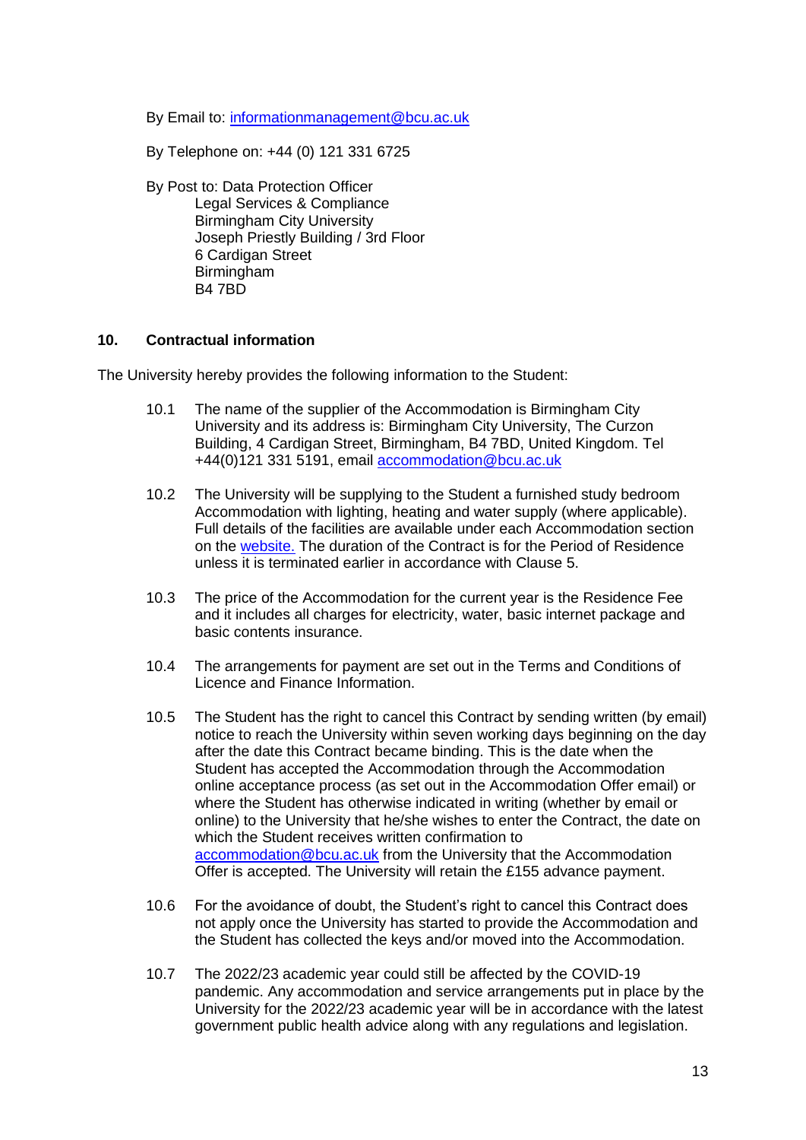By Email to: [informationmanagement@bcu.ac.uk](mailto:informationmanagement@bcu.ac.uk)

By Telephone on: +44 (0) 121 331 6725

By Post to: Data Protection Officer Legal Services & Compliance Birmingham City University Joseph Priestly Building / 3rd Floor 6 Cardigan Street Birmingham B4 7BD

#### **10. Contractual information**

The University hereby provides the following information to the Student:

- 10.1 The name of the supplier of the Accommodation is Birmingham City University and its address is: Birmingham City University, The Curzon Building, 4 Cardigan Street, Birmingham, B4 7BD, United Kingdom. Tel +44(0)121 331 5191, email [accommodation@bcu.ac.uk](mailto:accommodation@bcu.ac.uk)
- 10.2 The University will be supplying to the Student a furnished study bedroom Accommodation with lighting, heating and water supply (where applicable). Full details of the facilities are available under each Accommodation section on the [website.](https://www.bcu.ac.uk/student-info/accommodation) The duration of the Contract is for the Period of Residence unless it is terminated earlier in accordance with Clause 5.
- 10.3 The price of the Accommodation for the current year is the Residence Fee and it includes all charges for electricity, water, basic internet package and basic contents insurance.
- 10.4 The arrangements for payment are set out in the Terms and Conditions of Licence and Finance Information.
- 10.5 The Student has the right to cancel this Contract by sending written (by email) notice to reach the University within seven working days beginning on the day after the date this Contract became binding. This is the date when the Student has accepted the Accommodation through the Accommodation online acceptance process (as set out in the Accommodation Offer email) or where the Student has otherwise indicated in writing (whether by email or online) to the University that he/she wishes to enter the Contract, the date on which the Student receives written confirmation to [accommodation@bcu.ac.uk](mailto:accommodation@bcu.ac.uk) from the University that the Accommodation Offer is accepted. The University will retain the £155 advance payment.
- 10.6 For the avoidance of doubt, the Student's right to cancel this Contract does not apply once the University has started to provide the Accommodation and the Student has collected the keys and/or moved into the Accommodation.
- 10.7 The 2022/23 academic year could still be affected by the COVID-19 pandemic. Any accommodation and service arrangements put in place by the University for the 2022/23 academic year will be in accordance with the latest government public health advice along with any regulations and legislation.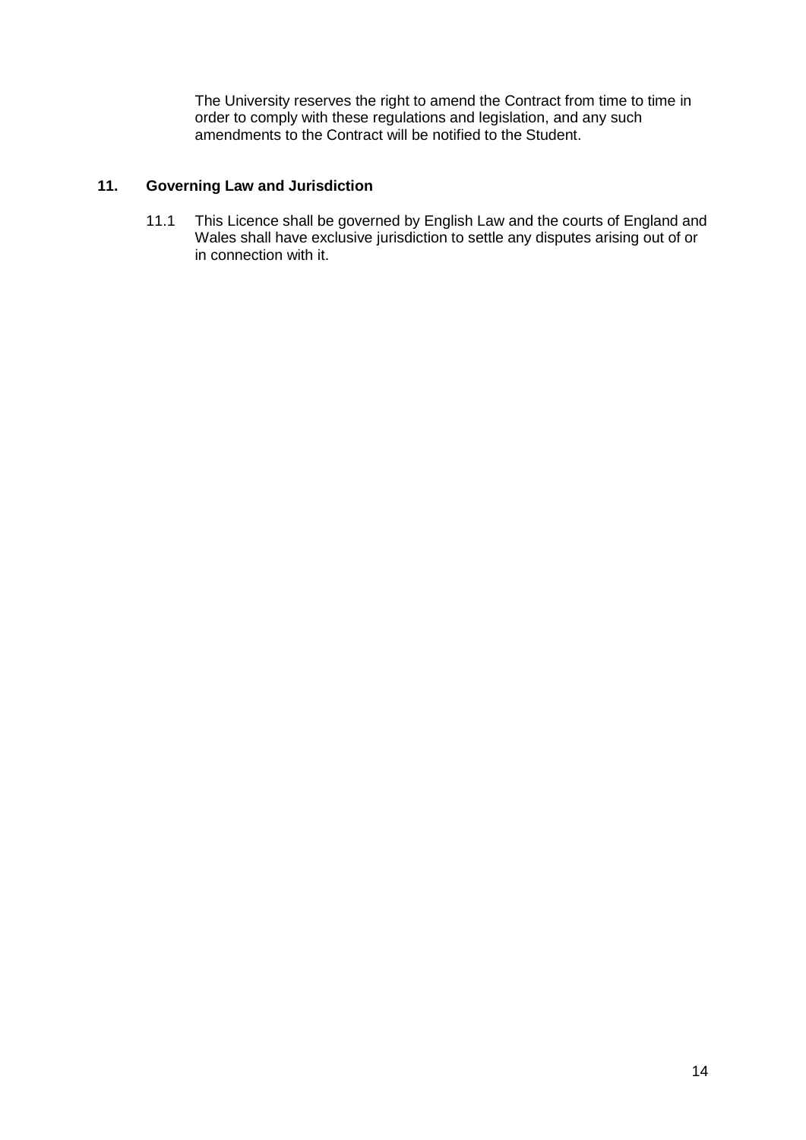The University reserves the right to amend the Contract from time to time in order to comply with these regulations and legislation, and any such amendments to the Contract will be notified to the Student.

# **11. Governing Law and Jurisdiction**

11.1 This Licence shall be governed by English Law and the courts of England and Wales shall have exclusive jurisdiction to settle any disputes arising out of or in connection with it.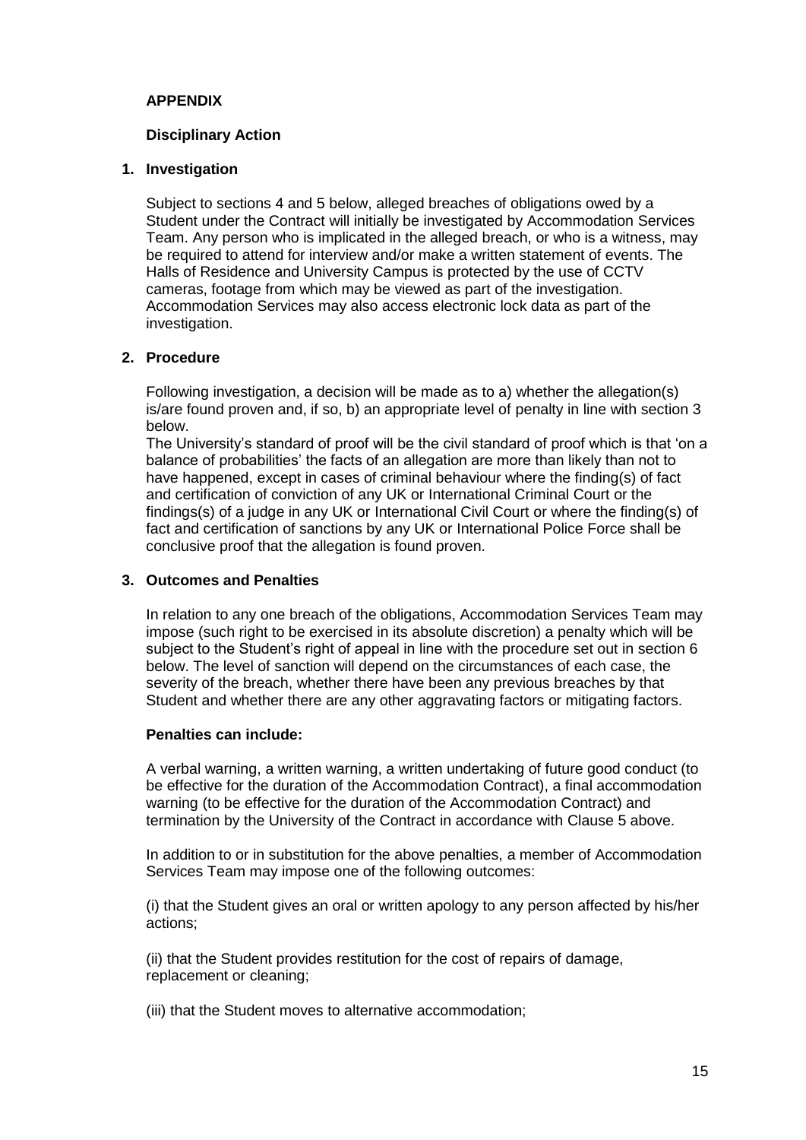# **APPENDIX**

#### **Disciplinary Action**

#### **1. Investigation**

Subject to sections 4 and [5](#page-15-0) below, alleged breaches of obligations owed by a Student under the Contract will initially be investigated by Accommodation Services Team. Any person who is implicated in the alleged breach, or who is a witness, may be required to attend for interview and/or make a written statement of events. The Halls of Residence and University Campus is protected by the use of CCTV cameras, footage from which may be viewed as part of the investigation. Accommodation Services may also access electronic lock data as part of the investigation.

#### **2. Procedure**

Following investigation, a decision will be made as to a) whether the allegation(s) is/are found proven and, if so, b) an appropriate level of penalty in line with section [3](#page-14-0) below.

The University's standard of proof will be the civil standard of proof which is that 'on a balance of probabilities' the facts of an allegation are more than likely than not to have happened, except in cases of criminal behaviour where the finding(s) of fact and certification of conviction of any UK or International Criminal Court or the findings(s) of a judge in any UK or International Civil Court or where the finding(s) of fact and certification of sanctions by any UK or International Police Force shall be conclusive proof that the allegation is found proven.

#### <span id="page-14-0"></span>**3. Outcomes and Penalties**

In relation to any one breach of the obligations, Accommodation Services Team may impose (such right to be exercised in its absolute discretion) a penalty which will be subject to the Student's right of appeal in line with the procedure set out in section [6](#page-15-1) below. The level of sanction will depend on the circumstances of each case, the severity of the breach, whether there have been any previous breaches by that Student and whether there are any other aggravating factors or mitigating factors.

#### **Penalties can include:**

A verbal warning, a written warning, a written undertaking of future good conduct (to be effective for the duration of the Accommodation Contract), a final accommodation warning (to be effective for the duration of the Accommodation Contract) and termination by the University of the Contract in accordance with Clause 5 above.

In addition to or in substitution for the above penalties, a member of Accommodation Services Team may impose one of the following outcomes:

(i) that the Student gives an oral or written apology to any person affected by his/her actions;

(ii) that the Student provides restitution for the cost of repairs of damage, replacement or cleaning;

(iii) that the Student moves to alternative accommodation;